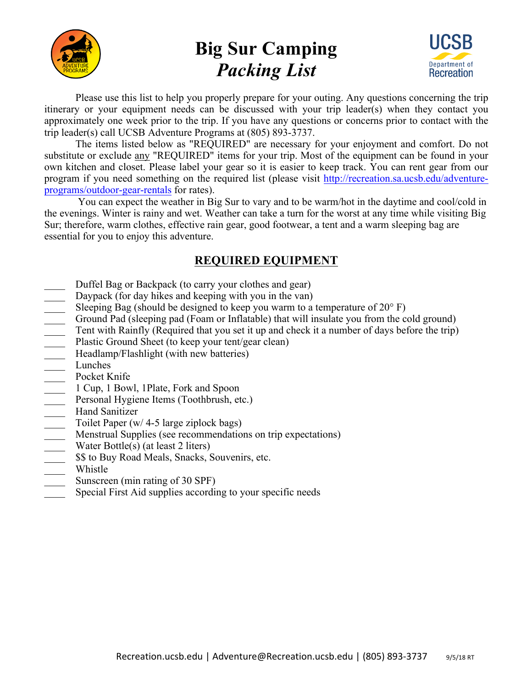

## **Big Sur Camping** *Packing List*



Please use this list to help you properly prepare for your outing. Any questions concerning the trip itinerary or your equipment needs can be discussed with your trip leader(s) when they contact you approximately one week prior to the trip. If you have any questions or concerns prior to contact with the trip leader(s) call UCSB Adventure Programs at (805) 893-3737.

The items listed below as "REQUIRED" are necessary for your enjoyment and comfort. Do not substitute or exclude any "REQUIRED" items for your trip. Most of the equipment can be found in your own kitchen and closet. Please label your gear so it is easier to keep track. You can rent gear from our program if you need something on the required list (please visit http://recreation.sa.ucsb.edu/adventureprograms/outdoor-gear-rentals for rates).

You can expect the weather in Big Sur to vary and to be warm/hot in the daytime and cool/cold in the evenings. Winter is rainy and wet. Weather can take a turn for the worst at any time while visiting Big Sur; therefore, warm clothes, effective rain gear, good footwear, a tent and a warm sleeping bag are essential for you to enjoy this adventure.

## **REQUIRED EQUIPMENT**

- Duffel Bag or Backpack (to carry your clothes and gear)
- 
- Sleeping Bag (should be designed to keep you warm to a temperature of  $20^{\circ}$  F)
- \_\_\_\_ Ground Pad (sleeping pad (Foam or Inflatable) that will insulate you from the cold ground)
- Tent with Rainfly (Required that you set it up and check it a number of days before the trip)
- Plastic Ground Sheet (to keep your tent/gear clean)
- Headlamp/Flashlight (with new batteries)
- Lunches
- Pocket Knife
- \_\_\_\_ 1 Cup, 1 Bowl, 1Plate, Fork and Spoon
- Personal Hygiene Items (Toothbrush, etc.)
- Hand Sanitizer
- Toilet Paper (w/ 4-5 large ziplock bags)
- Daypack (for day hikes and keeping with you in the van)<br>
Sleeping Bag (should be designed to keep you warm to a<br>
Ground Pad (sleeping pad (Foam or Inflatable) that will in<br>
Tent with Rainfly (Required that you set it up an Menstrual Supplies (see recommendations on trip expectations)
- Water Bottle(s) (at least 2 liters)
- $$$  to Buy Road Meals, Snacks, Souvenirs, etc.
- \_\_\_\_ Whistle
- Sunscreen (min rating of 30 SPF)
- Special First Aid supplies according to your specific needs